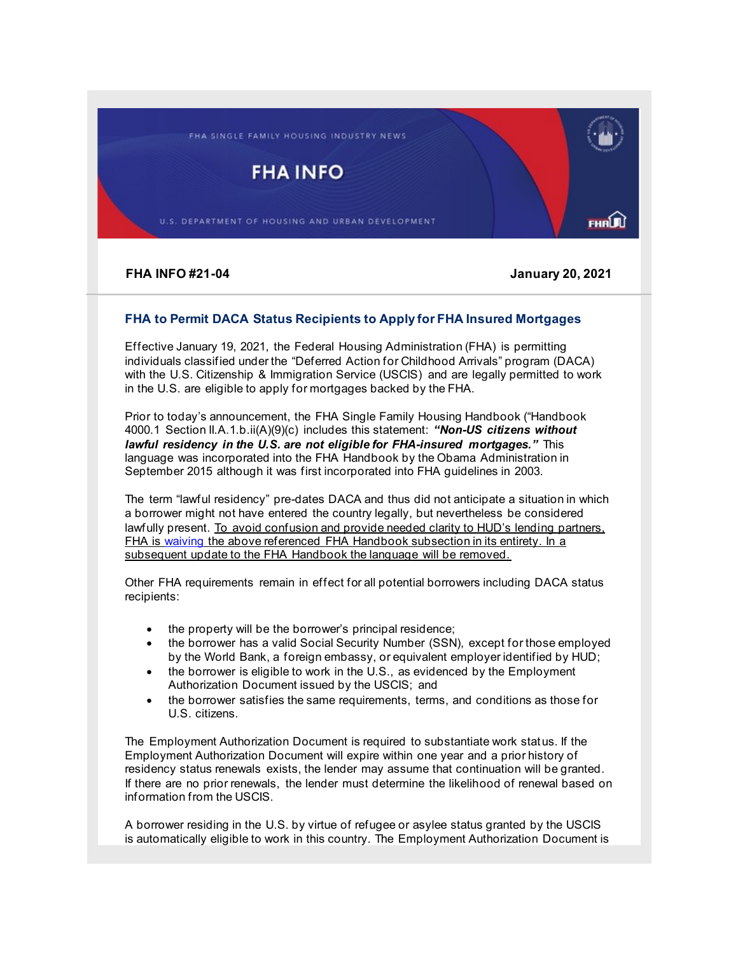FHA SINGLE FAMILY HOUSING INDUSTRY NEWS

**FHA INFO** 

U.S. DEPARTMENT OF HOUSING AND URBAN DEVELOPMENT

**FHA INFO #21-04 January 20, 2021**

FHA**LA**Ù

## **FHA to Permit DACA Status Recipients to Apply for FHA Insured Mortgages**

Effective January 19, 2021, the Federal Housing Administration (FHA) is permitting individuals classified under the "Deferred Action for Childhood Arrivals" program (DACA) with the U.S. Citizenship & Immigration Service (USCIS) and are legally permitted to work in the U.S. are eligible to apply for mortgages backed by the FHA.

Prior to today's announcement, the FHA Single Family Housing Handbook ("Handbook 4000.1 Section II.A.1.b.ii(A)(9)(c) includes this statement: *"Non-US citizens without lawful residency in the U.S. are not eligible for FHA-insured mortgages."* This language was incorporated into the FHA Handbook by the Obama Administration in September 2015 although it was first incorporated into FHA guidelines in 2003.

The term "lawful residency" pre-dates DACA and thus did not anticipate a situation in which a borrower might not have entered the country legally, but nevertheless be considered lawfully present. To avoid confusion and provide needed clarity to HUD's lending partners, FHA is [waiving](https://lnks.gd/l/eyJhbGciOiJIUzI1NiJ9.eyJidWxsZXRpbl9saW5rX2lkIjoxMDAsInVyaSI6ImJwMjpjbGljayIsImJ1bGxldGluX2lkIjoiMjAyMTAxMjAuMzM2MjkyNzEiLCJ1cmwiOiJodHRwczovL3d3dy5odWQuZ292L3NpdGVzL2RmaWxlcy9PQ0hDTy9kb2N1bWVudHMvSG91c2luZ1dhaXZlcjQwMDAuMS5wZGY_dXRtX21lZGl1bT1lbWFpbCZ1dG1fc291cmNlPWdvdmRlbGl2ZXJ5In0.kHQI5XIH22pTvKoHhzQwA-1MJMi5MEOAAHwPExj9A2c/s/1416390822/br/93363067301-l) the above referenced FHA Handbook subsection in its entirety. In a subsequent update to the FHA Handbook the language will be removed.

Other FHA requirements remain in effect for all potential borrowers including DACA status recipients:

- the property will be the borrower's principal residence;
- the borrower has a valid Social Security Number (SSN), except for those employed by the World Bank, a foreign embassy, or equivalent employer identified by HUD;
- the borrower is eligible to work in the U.S., as evidenced by the Employment Authorization Document issued by the USCIS; and
- the borrower satisfies the same requirements, terms, and conditions as those for U.S. citizens.

The Employment Authorization Document is required to substantiate work status. If the Employment Authorization Document will expire within one year and a prior history of residency status renewals exists, the lender may assume that continuation will be granted. If there are no prior renewals, the lender must determine the likelihood of renewal based on information from the USCIS.

A borrower residing in the U.S. by virtue of refugee or asylee status granted by the USCIS is automatically eligible to work in this country. The Employment Authorization Document is